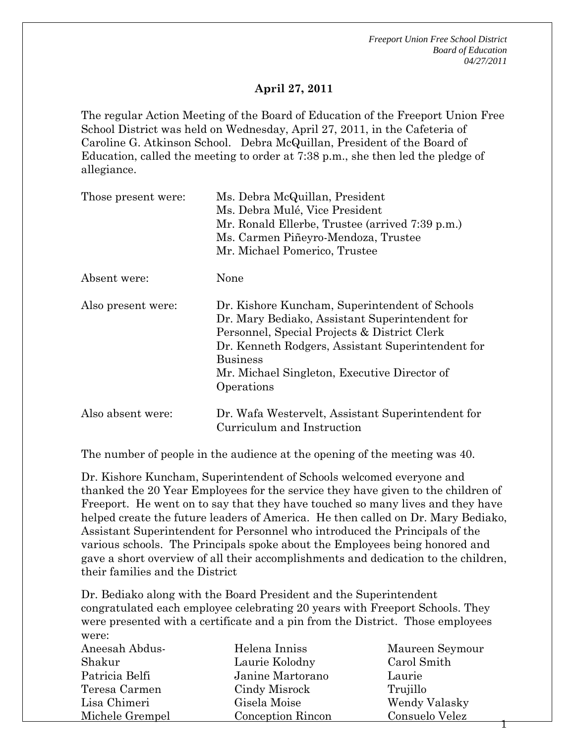*Freeport Union Free School District Board of Education 04/27/2011* 

1

#### **April 27, 2011**

The regular Action Meeting of the Board of Education of the Freeport Union Free School District was held on Wednesday, April 27, 2011, in the Cafeteria of Caroline G. Atkinson School. Debra McQuillan, President of the Board of Education, called the meeting to order at 7:38 p.m., she then led the pledge of allegiance.

| Those present were: | Ms. Debra McQuillan, President<br>Ms. Debra Mulé, Vice President<br>Mr. Ronald Ellerbe, Trustee (arrived 7:39 p.m.)<br>Ms. Carmen Piñeyro-Mendoza, Trustee<br>Mr. Michael Pomerico, Trustee                                                                                            |
|---------------------|----------------------------------------------------------------------------------------------------------------------------------------------------------------------------------------------------------------------------------------------------------------------------------------|
| Absent were:        | None                                                                                                                                                                                                                                                                                   |
| Also present were:  | Dr. Kishore Kuncham, Superintendent of Schools<br>Dr. Mary Bediako, Assistant Superintendent for<br>Personnel, Special Projects & District Clerk<br>Dr. Kenneth Rodgers, Assistant Superintendent for<br><b>Business</b><br>Mr. Michael Singleton, Executive Director of<br>Operations |
| Also absent were:   | Dr. Wafa Westervelt, Assistant Superintendent for<br>Curriculum and Instruction                                                                                                                                                                                                        |

The number of people in the audience at the opening of the meeting was 40.

Dr. Kishore Kuncham, Superintendent of Schools welcomed everyone and thanked the 20 Year Employees for the service they have given to the children of Freeport. He went on to say that they have touched so many lives and they have helped create the future leaders of America. He then called on Dr. Mary Bediako, Assistant Superintendent for Personnel who introduced the Principals of the various schools. The Principals spoke about the Employees being honored and gave a short overview of all their accomplishments and dedication to the children, their families and the District

Dr. Bediako along with the Board President and the Superintendent congratulated each employee celebrating 20 years with Freeport Schools. They were presented with a certificate and a pin from the District. Those employees were:

| Aneesah Abdus-  | Helena Inniss            | Maureen Seymour |
|-----------------|--------------------------|-----------------|
| Shakur          | Laurie Kolodny           | Carol Smith     |
| Patricia Belfi  | Janine Martorano         | Laurie          |
| Teresa Carmen   | Cindy Misrock            | Trujillo        |
| Lisa Chimeri    | Gisela Moise             | Wendy Valasky   |
| Michele Grempel | <b>Conception Rincon</b> | Consuelo Velez  |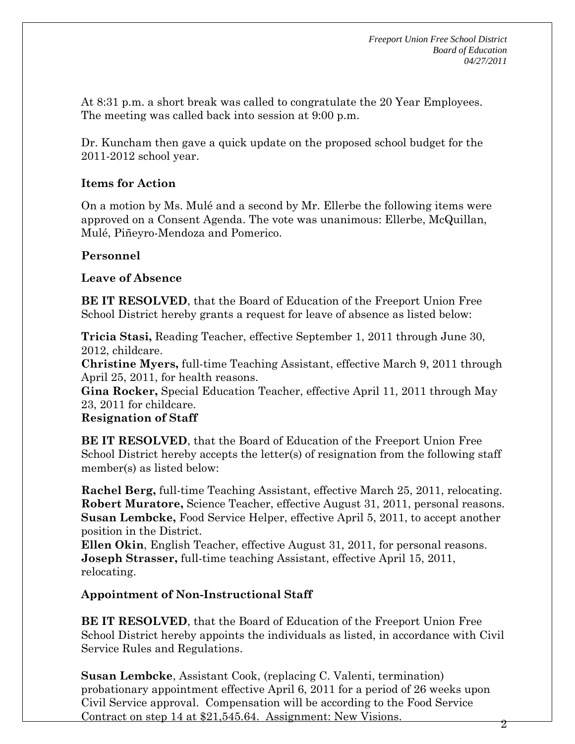At 8:31 p.m. a short break was called to congratulate the 20 Year Employees. The meeting was called back into session at 9:00 p.m.

Dr. Kuncham then gave a quick update on the proposed school budget for the 2011-2012 school year.

#### **Items for Action**

On a motion by Ms. Mulé and a second by Mr. Ellerbe the following items were approved on a Consent Agenda. The vote was unanimous: Ellerbe, McQuillan, Mulé, Piñeyro-Mendoza and Pomerico.

### **Personnel**

#### **Leave of Absence**

**BE IT RESOLVED**, that the Board of Education of the Freeport Union Free School District hereby grants a request for leave of absence as listed below:

**Tricia Stasi,** Reading Teacher, effective September 1, 2011 through June 30, 2012, childcare.

**Christine Myers,** full-time Teaching Assistant, effective March 9, 2011 through April 25, 2011, for health reasons.

**Gina Rocker,** Special Education Teacher, effective April 11, 2011 through May 23, 2011 for childcare.

#### **Resignation of Staff**

**BE IT RESOLVED**, that the Board of Education of the Freeport Union Free School District hereby accepts the letter(s) of resignation from the following staff member(s) as listed below:

**Rachel Berg,** full-time Teaching Assistant, effective March 25, 2011, relocating. **Robert Muratore,** Science Teacher, effective August 31, 2011, personal reasons. **Susan Lembcke,** Food Service Helper, effective April 5, 2011, to accept another position in the District.

**Ellen Okin**, English Teacher, effective August 31, 2011, for personal reasons. **Joseph Strasser,** full-time teaching Assistant, effective April 15, 2011, relocating.

#### **Appointment of Non-Instructional Staff**

**BE IT RESOLVED**, that the Board of Education of the Freeport Union Free School District hereby appoints the individuals as listed, in accordance with Civil Service Rules and Regulations.

**Susan Lembcke**, Assistant Cook, (replacing C. Valenti, termination) probationary appointment effective April 6, 2011 for a period of 26 weeks upon Civil Service approval. Compensation will be according to the Food Service Contract on step 14 at \$21,545.64. Assignment: New Visions.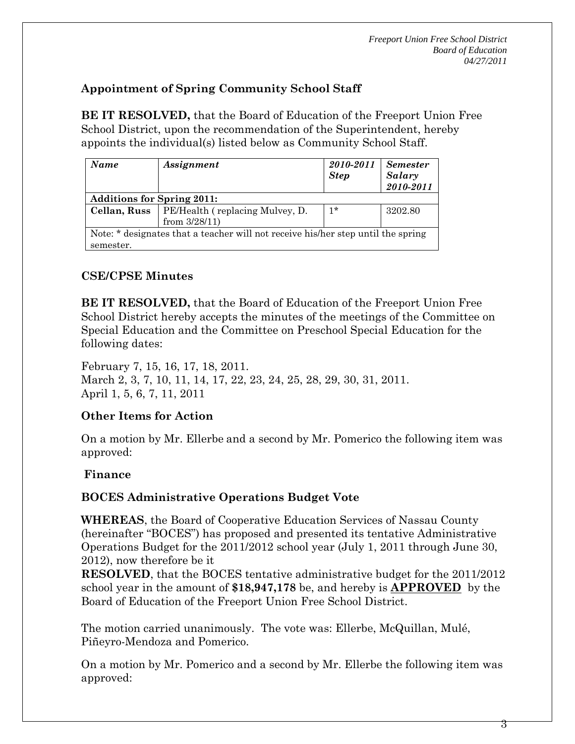# **Appointment of Spring Community School Staff**

**BE IT RESOLVED,** that the Board of Education of the Freeport Union Free School District, upon the recommendation of the Superintendent, hereby appoints the individual(s) listed below as Community School Staff.

| Name                                                                             | Assignment                      | 2010-2011<br><b>Step</b> | <b>Semester</b><br>Salary<br>2010-2011 |  |
|----------------------------------------------------------------------------------|---------------------------------|--------------------------|----------------------------------------|--|
| <b>Additions for Spring 2011:</b>                                                |                                 |                          |                                        |  |
| Cellan, Russ                                                                     | PE/Health (replacing Mulvey, D. | $1*$                     | 3202.80                                |  |
|                                                                                  | from $3/28/11$ )                |                          |                                        |  |
| Note: * designates that a teacher will not receive his/her step until the spring |                                 |                          |                                        |  |
| semester.                                                                        |                                 |                          |                                        |  |

# **CSE/CPSE Minutes**

**BE IT RESOLVED,** that the Board of Education of the Freeport Union Free School District hereby accepts the minutes of the meetings of the Committee on Special Education and the Committee on Preschool Special Education for the following dates:

February 7, 15, 16, 17, 18, 2011. March 2, 3, 7, 10, 11, 14, 17, 22, 23, 24, 25, 28, 29, 30, 31, 2011. April 1, 5, 6, 7, 11, 2011

#### **Other Items for Action**

On a motion by Mr. Ellerbe and a second by Mr. Pomerico the following item was approved:

#### **Finance**

# **BOCES Administrative Operations Budget Vote**

**WHEREAS**, the Board of Cooperative Education Services of Nassau County (hereinafter "BOCES") has proposed and presented its tentative Administrative Operations Budget for the 2011/2012 school year (July 1, 2011 through June 30, 2012), now therefore be it

**RESOLVED**, that the BOCES tentative administrative budget for the 2011/2012 school year in the amount of **\$18,947,178** be, and hereby is **APPROVED** by the Board of Education of the Freeport Union Free School District.

The motion carried unanimously. The vote was: Ellerbe, McQuillan, Mulé, Piñeyro-Mendoza and Pomerico.

On a motion by Mr. Pomerico and a second by Mr. Ellerbe the following item was approved: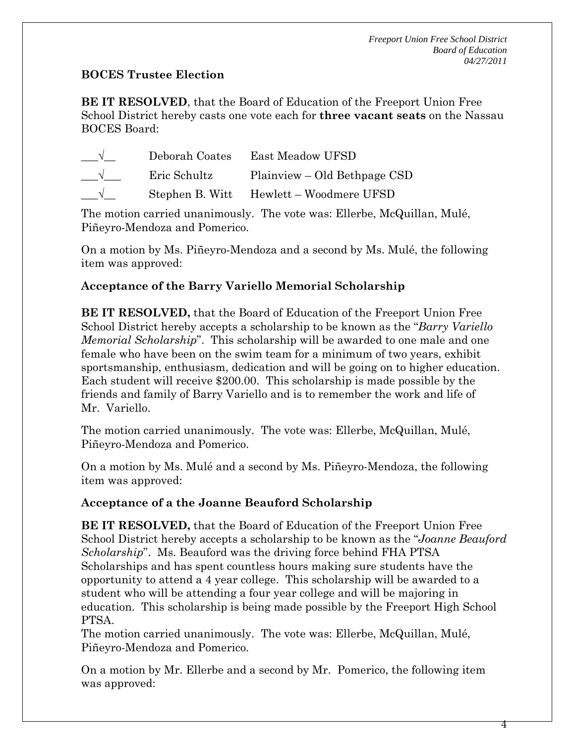### **BOCES Trustee Election**

**BE IT RESOLVED**, that the Board of Education of the Freeport Union Free School District hereby casts one vote each for **three vacant seats** on the Nassau BOCES Board:

| Deborah Coates | East Meadow UFSD                        |
|----------------|-----------------------------------------|
| Eric Schultz   | Plainview – Old Bethpage CSD            |
|                | Stephen B. Witt Hewlett – Woodmere UFSD |

The motion carried unanimously. The vote was: Ellerbe, McQuillan, Mulé, Piñeyro-Mendoza and Pomerico.

On a motion by Ms. Piñeyro-Mendoza and a second by Ms. Mulé, the following item was approved:

# **Acceptance of the Barry Variello Memorial Scholarship**

**BE IT RESOLVED,** that the Board of Education of the Freeport Union Free School District hereby accepts a scholarship to be known as the "*Barry Variello Memorial Scholarship*". This scholarship will be awarded to one male and one female who have been on the swim team for a minimum of two years, exhibit sportsmanship, enthusiasm, dedication and will be going on to higher education. Each student will receive \$200.00. This scholarship is made possible by the friends and family of Barry Variello and is to remember the work and life of Mr. Variello.

The motion carried unanimously. The vote was: Ellerbe, McQuillan, Mulé, Piñeyro-Mendoza and Pomerico.

On a motion by Ms. Mulé and a second by Ms. Piñeyro-Mendoza, the following item was approved:

# **Acceptance of a the Joanne Beauford Scholarship**

**BE IT RESOLVED,** that the Board of Education of the Freeport Union Free School District hereby accepts a scholarship to be known as the "*Joanne Beauford Scholarship*". Ms. Beauford was the driving force behind FHA PTSA Scholarships and has spent countless hours making sure students have the opportunity to attend a 4 year college. This scholarship will be awarded to a student who will be attending a four year college and will be majoring in education. This scholarship is being made possible by the Freeport High School PTSA.

The motion carried unanimously. The vote was: Ellerbe, McQuillan, Mulé, Piñeyro-Mendoza and Pomerico.

On a motion by Mr. Ellerbe and a second by Mr. Pomerico, the following item was approved:

4